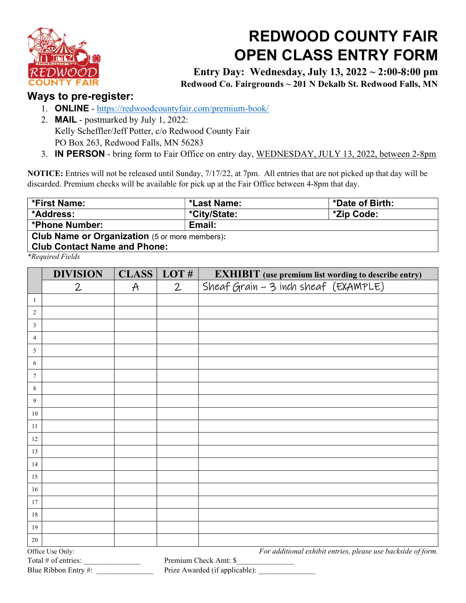

## REDWOOD COUNTY FAIR OPEN CLASS ENTRY FORM

Entry Day: Wednesday, July 13, 2022 ~ 2:00-8:00 pm Redwood Co. Fairgrounds ~ 201 N Dekalb St. Redwood Falls, MN

## Ways to pre-register:

- 1. ONLINE https://redwoodcountyfair.com/premium-book/
- 2. MAIL postmarked by July 1, 2022: Kelly Scheffler/Jeff Potter, c/o Redwood County Fair PO Box 263, Redwood Falls, MN 56283
- 3. IN PERSON bring form to Fair Office on entry day, WEDNESDAY, JULY 13, 2022, between 2-8pm

NOTICE: Entries will not be released until Sunday, 7/17/22, at 7pm. All entries that are not picked up that day will be discarded. Premium checks will be available for pick up at the Fair Office between 4-8pm that day.

| *First Name:                                          | *Last Name:  | *Date of Birth: |  |  |  |  |
|-------------------------------------------------------|--------------|-----------------|--|--|--|--|
| *Address:                                             | *City/State: | *Zip Code:      |  |  |  |  |
| <b>*Phone Number:</b>                                 | Email:       |                 |  |  |  |  |
| <b>Club Name or Organization</b> (5 or more members): |              |                 |  |  |  |  |
| <b>Club Contact Name and Phone:</b>                   |              |                 |  |  |  |  |
| $*$ <i>Poquivad Fields</i>                            |              |                 |  |  |  |  |

\*Required Fields

|                     | <b>DIVISION</b>      | <b>CLASS</b>  | LOT#                                                         | <b>EXHIBIT</b> (use premium list wording to describe entry) |
|---------------------|----------------------|---------------|--------------------------------------------------------------|-------------------------------------------------------------|
|                     | $\overline{2}$       | $\mathcal{A}$ | $\mathbf{2}$                                                 | Sheaf Grain - 3 inch sheaf (EXAMPLE)                        |
| -1                  |                      |               |                                                              |                                                             |
| 2                   |                      |               |                                                              |                                                             |
| 3                   |                      |               |                                                              |                                                             |
| 4                   |                      |               |                                                              |                                                             |
| 5                   |                      |               |                                                              |                                                             |
| 6                   |                      |               |                                                              |                                                             |
| 7                   |                      |               |                                                              |                                                             |
| 8                   |                      |               |                                                              |                                                             |
| 9                   |                      |               |                                                              |                                                             |
| 10                  |                      |               |                                                              |                                                             |
| 11                  |                      |               |                                                              |                                                             |
| 12                  |                      |               |                                                              |                                                             |
| 13                  |                      |               |                                                              |                                                             |
| 14                  |                      |               |                                                              |                                                             |
| 15                  |                      |               |                                                              |                                                             |
| 16                  |                      |               |                                                              |                                                             |
| 17                  |                      |               |                                                              |                                                             |
| 18                  |                      |               |                                                              |                                                             |
| 19                  |                      |               |                                                              |                                                             |
| 20                  |                      |               |                                                              |                                                             |
| Office Use Only:    |                      |               | For additional exhibit entries, please use backside of form. |                                                             |
| Total # of entries: |                      |               | Premium Check Amt: \$                                        |                                                             |
|                     | Blue Ribbon Entry #: |               |                                                              | Prize Awarded (if applicable):                              |